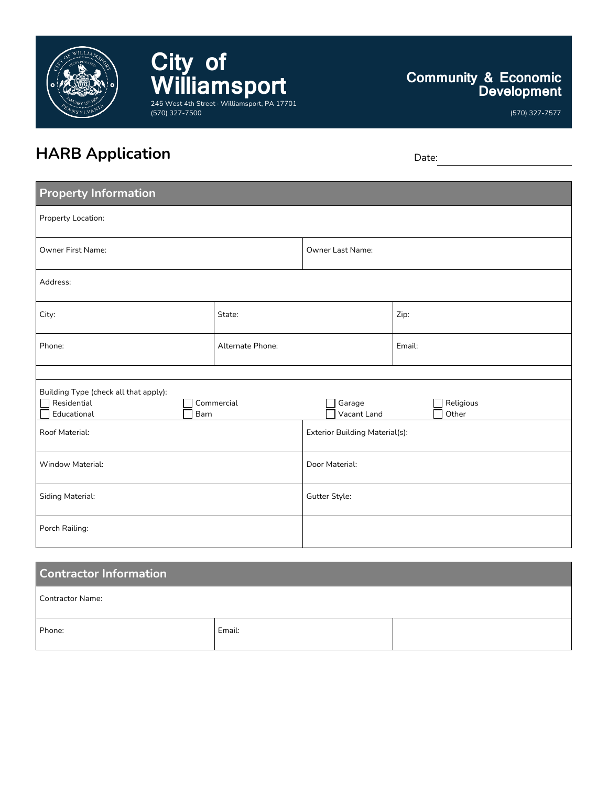

**City of Williamsport** 245 West 4th Street · Williamsport, PA 17701 (570) 327-7500

# **Community & Economic Development**

(570) 327-7577

# **HARB** Application Date:

| <b>Property Information</b>                                                               |                  |                                |        |                    |  |
|-------------------------------------------------------------------------------------------|------------------|--------------------------------|--------|--------------------|--|
| Property Location:                                                                        |                  |                                |        |                    |  |
| <b>Owner First Name:</b>                                                                  |                  | Owner Last Name:               |        |                    |  |
| Address:                                                                                  |                  |                                |        |                    |  |
| City:                                                                                     | State:           |                                | Zip:   |                    |  |
| Phone:                                                                                    | Alternate Phone: |                                | Email: |                    |  |
|                                                                                           |                  |                                |        |                    |  |
| Building Type (check all that apply):<br>Residential<br>Commercial<br>Barn<br>Educational |                  | Garage<br>Vacant Land          |        | Religious<br>Other |  |
| Roof Material:                                                                            |                  | Exterior Building Material(s): |        |                    |  |
| Window Material:                                                                          |                  | Door Material:                 |        |                    |  |
| Siding Material:                                                                          |                  | Gutter Style:                  |        |                    |  |
| Porch Railing:                                                                            |                  |                                |        |                    |  |

| <b>Contractor Information</b> |        |  |  |  |  |
|-------------------------------|--------|--|--|--|--|
| Contractor Name:              |        |  |  |  |  |
| Phone:                        | Email: |  |  |  |  |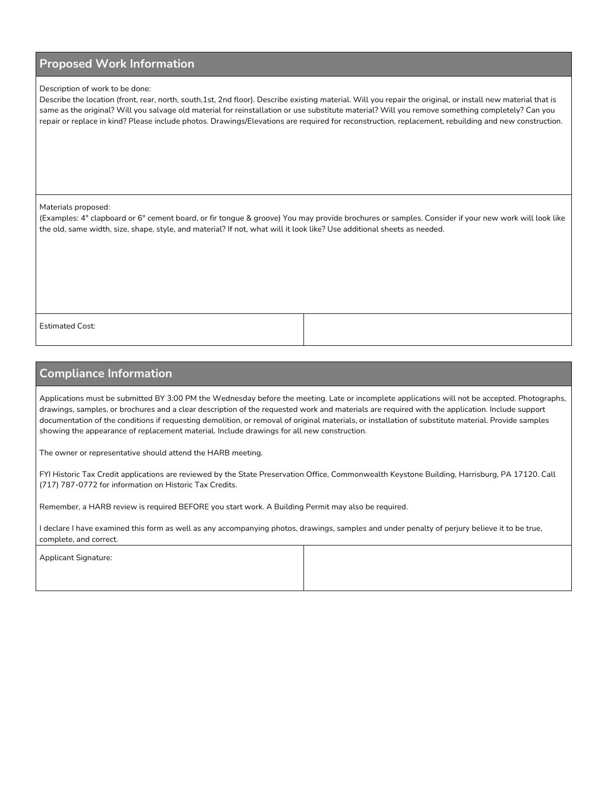### **Proposed Work Information**

#### Description of work to be done:

Describe the location (front, rear, north, south,1st, 2nd floor). Describe existing material. Will you repair the original, or install new material that is same as the original? Will you salvage old material for reinstallation or use substitute material? Will you remove something completely? Can you repair or replace in kind? Please include photos. Drawings/Elevations are required for reconstruction, replacement, rebuilding and new construction.

Materials proposed:

(Examples: 4" clapboard or 6" cement board, or fir tongue & groove) You may provide brochures or samples. Consider if your new work will look like the old, same width, size, shape, style, and material? If not, what will it look like? Use additional sheets as needed.

Estimated Cost:

# **Compliance Information**

Applications must be submitted BY 3:00 PM the Wednesday before the meeting. Late or incomplete applications will not be accepted. Photographs, drawings, samples, or brochures and a clear description of the requested work and materials are required with the application. Include support documentation of the conditions if requesting demolition, or removal of original materials, or installation of substitute material. Provide samples showing the appearance of replacement material. Include drawings for all new construction.

The owner or representative should attend the HARB meeting.

FYI Historic Tax Credit applications are reviewed by the State Preservation Office, Commonwealth Keystone Building, Harrisburg, PA 17120. Call (717) 787-0772 for information on Historic Tax Credits.

Remember, a HARB review is required BEFORE you start work. A Building Permit may also be required.

I declare I have examined this form as well as any accompanying photos, drawings, samples and under penalty of perjury believe it to be true, complete, and correct.

| Applicant Signature: |  |
|----------------------|--|
|                      |  |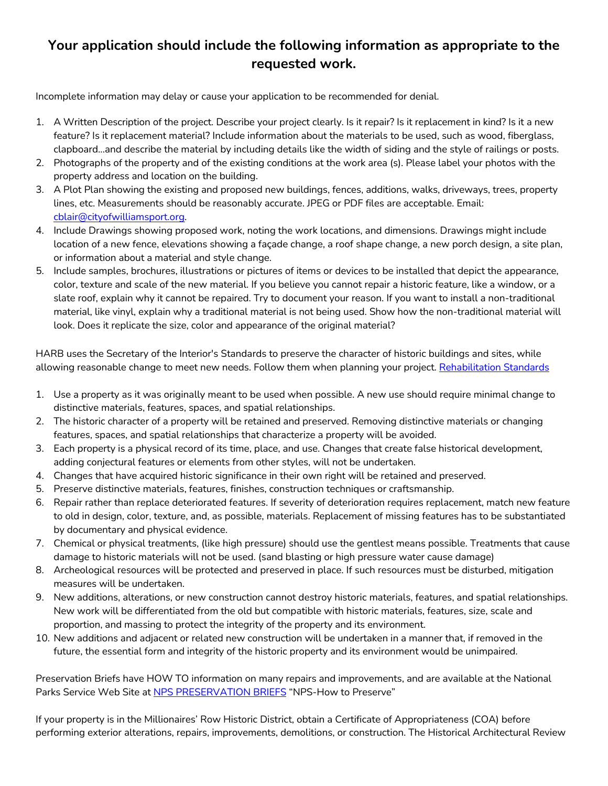# **Your application should include the following information as appropriate to the requested work.**

Incomplete information may delay or cause your application to be recommended for denial.

- 1. A Written Description of the project. Describe your project clearly. Is it repair? Is it replacement in kind? Is it a new feature? Is it replacement material? Include information about the materials to be used, such as wood, fiberglass, clapboard...and describe the material by including details like the width of siding and the style of railings or posts.
- 2. Photographs of the property and of the existing conditions at the work area (s). Please label your photos with the property address and location on the building.
- 3. A Plot Plan showing the existing and proposed new buildings, fences, additions, walks, driveways, trees, property lines, etc. Measurements should be reasonably accurate. JPEG or PDF files are acceptable. Email: cblair@cityofwilliamsport.org.
- 4. Include Drawings showing proposed work, noting the work locations, and dimensions. Drawings might include location of a new fence, elevations showing a façade change, a roof shape change, a new porch design, a site plan, or information about a material and style change.
- 5. Include samples, brochures, illustrations or pictures of items or devices to be installed that depict the appearance, color, texture and scale of the new material. If you believe you cannot repair a historic feature, like a window, or a slate roof, explain why it cannot be repaired. Try to document your reason. If you want to install a non-traditional material, like vinyl, explain why a traditional material is not being used. Show how the non-traditional material will look. Does it replicate the size, color and appearance of the original material?

HARB uses the Secretary of the Interior's Standards to preserve the character of historic buildings and sites, while allowing reasonable change to meet new needs. Follow them when planning your project. Rehabilitation Standards

- 1. Use a property as it was originally meant to be used when possible. A new use should require minimal change to distinctive materials, features, spaces, and spatial relationships.
- 2. The historic character of a property will be retained and preserved. Removing distinctive materials or changing features, spaces, and spatial relationships that characterize a property will be avoided.
- 3. Each property is a physical record of its time, place, and use. Changes that create false historical development, adding conjectural features or elements from other styles, will not be undertaken.
- 4. Changes that have acquired historic significance in their own right will be retained and preserved.
- 5. Preserve distinctive materials, features, finishes, construction techniques or craftsmanship.
- 6. Repair rather than replace deteriorated features. If severity of deterioration requires replacement, match new feature to old in design, color, texture, and, as possible, materials. Replacement of missing features has to be substantiated by documentary and physical evidence.
- 7. Chemical or physical treatments, (like high pressure) should use the gentlest means possible. Treatments that cause damage to historic materials will not be used. (sand blasting or high pressure water cause damage)
- 8. Archeological resources will be protected and preserved in place. If such resources must be disturbed, mitigation measures will be undertaken.
- 9. New additions, alterations, or new construction cannot destroy historic materials, features, and spatial relationships. New work will be differentiated from the old but compatible with historic materials, features, size, scale and proportion, and massing to protect the integrity of the property and its environment.
- 10. New additions and adjacent or related new construction will be undertaken in a manner that, if removed in the future, the essential form and integrity of the historic property and its environment would be unimpaired.

Preservation Briefs have HOW TO information on many repairs and improvements, and are available at the National Parks Service Web Site at NPS PRESERVATION BRIEFS "NPS-How to Preserve"

If your property is in the Millionaires' Row Historic District, obtain a Certificate of Appropriateness (COA) before performing exterior alterations, repairs, improvements, demolitions, or construction. The Historical Architectural Review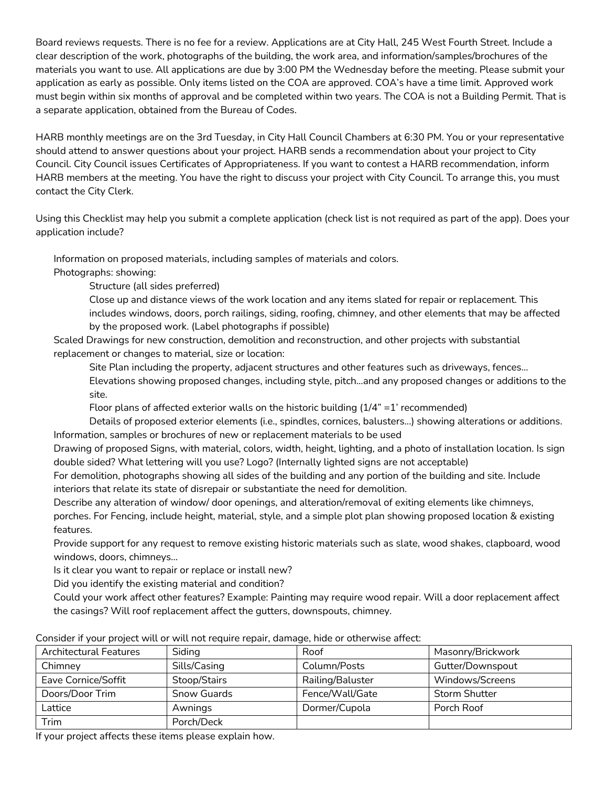Board reviews requests. There is no fee for a review. Applications are at City Hall, 245 West Fourth Street. Include a clear description of the work, photographs of the building, the work area, and information/samples/brochures of the materials you want to use. All applications are due by 3:00 PM the Wednesday before the meeting. Please submit your application as early as possible. Only items listed on the COA are approved. COA's have a time limit. Approved work must begin within six months of approval and be completed within two years. The COA is not a Building Permit. That is a separate application, obtained from the Bureau of Codes.

HARB monthly meetings are on the 3rd Tuesday, in City Hall Council Chambers at 6:30 PM. You or your representative should attend to answer questions about your project. HARB sends a recommendation about your project to City Council. City Council issues Certificates of Appropriateness. If you want to contest a HARB recommendation, inform HARB members at the meeting. You have the right to discuss your project with City Council. To arrange this, you must contact the City Clerk.

Using this Checklist may help you submit a complete application (check list is not required as part of the app). Does your application include?

Information on proposed materials, including samples of materials and colors.

Photographs: showing:

Structure (all sides preferred)

 Close up and distance views of the work location and any items slated for repair or replacement. This includes windows, doors, porch railings, siding, roofing, chimney, and other elements that may be affected by the proposed work. (Label photographs if possible)

 Scaled Drawings for new construction, demolition and reconstruction, and other projects with substantial replacement or changes to material, size or location:

Site Plan including the property, adjacent structures and other features such as driveways, fences...

 Elevations showing proposed changes, including style, pitch...and any proposed changes or additions to the site.

Floor plans of affected exterior walls on the historic building  $(1/4<sup>n</sup> = 1<sup>r</sup>$  recommended)

 Details of proposed exterior elements (i.e., spindles, cornices, balusters...) showing alterations or additions. Information, samples or brochures of new or replacement materials to be used

 Drawing of proposed Signs, with material, colors, width, height, lighting, and a photo of installation location. Is sign double sided? What lettering will you use? Logo? (Internally lighted signs are not acceptable)

 For demolition, photographs showing all sides of the building and any portion of the building and site. Include interiors that relate its state of disrepair or substantiate the need for demolition.

Describe any alteration of window/ door openings, and alteration/removal of exiting elements like chimneys,

porches. For Fencing, include height, material, style, and a simple plot plan showing proposed location & existing features.

 Provide support for any request to remove existing historic materials such as slate, wood shakes, clapboard, wood windows, doors, chimneys...

Is it clear you want to repair or replace or install new?

Did you identify the existing material and condition?

 Could your work affect other features? Example: Painting may require wood repair. Will a door replacement affect the casings? Will roof replacement affect the gutters, downspouts, chimney.

| <b>Architectural Features</b> | Siding             | Roof             | Masonry/Brickwork    |
|-------------------------------|--------------------|------------------|----------------------|
| Chimney                       | Sills/Casing       | Column/Posts     | Gutter/Downspout     |
| Eave Cornice/Soffit           | Stoop/Stairs       | Railing/Baluster | Windows/Screens      |
| Doors/Door Trim               | <b>Snow Guards</b> | Fence/Wall/Gate  | <b>Storm Shutter</b> |
| Lattice                       | Awnings            | Dormer/Cupola    | Porch Roof           |
| Trim                          | Porch/Deck         |                  |                      |

#### Consider if your project will or will not require repair, damage, hide or otherwise affect:

If your project affects these items please explain how.